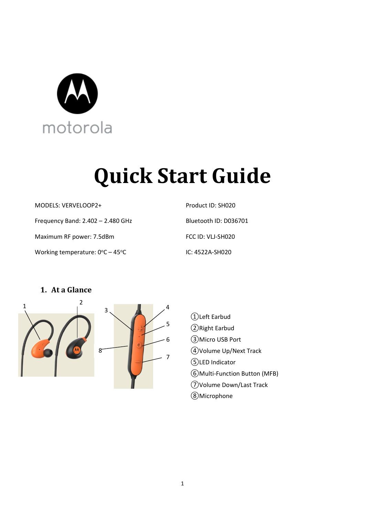

# **Quick Start Guide**

MODELS: VERVELOOP2+

Frequency Band: 2.402 – 2.480 GHz

Maximum RF power: 7.5dBm

Working temperature:  $0^{\circ}$ C – 45°C

Product ID: SH020 Bluetooth ID: D036701 FCC ID: VLJ-SH020 IC: 4522A-SH020

## **1. At a Glance**



- ①Left Earbud
- ②Right Earbud
- ③Micro USB Port
- ④Volume Up/Next Track
- ⑤LED Indicator
- ⑥Multi-Function Button (MFB)
- ⑦Volume Down/Last Track
- ⑧Microphone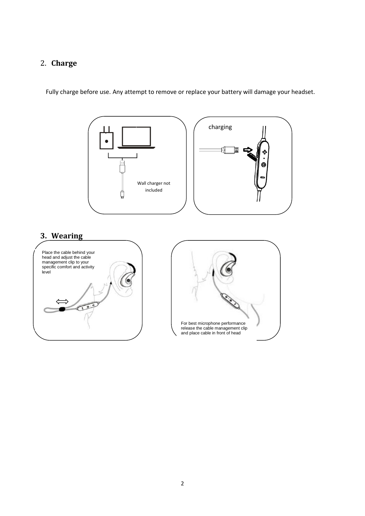## 2. **Charge**

Fully charge before use. Any attempt to remove or replace your battery will damage your headset.

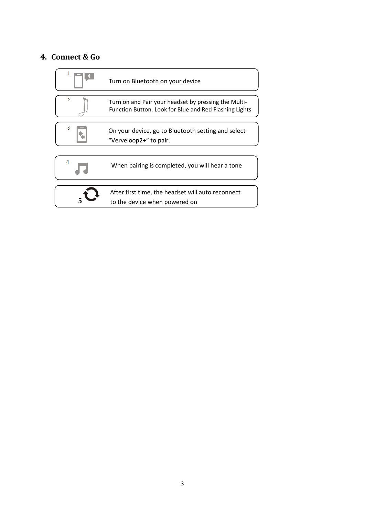### **4. Connect & Go**

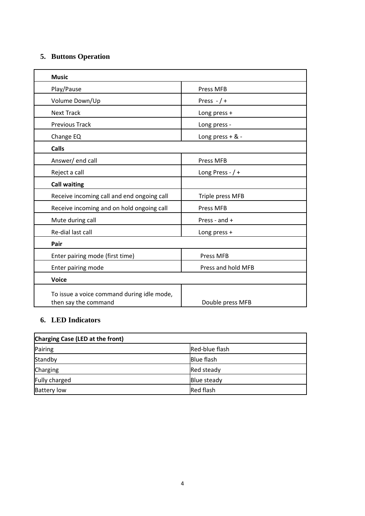#### **5. Buttons Operation**

| <b>Music</b>                                                       |                    |
|--------------------------------------------------------------------|--------------------|
| Play/Pause                                                         | Press MFB          |
| Volume Down/Up                                                     | Press $-$ / +      |
| <b>Next Track</b>                                                  | Long press +       |
| <b>Previous Track</b>                                              | Long press -       |
| Change EQ                                                          | Long press + & -   |
| <b>Calls</b>                                                       |                    |
| Answer/end call                                                    | Press MFB          |
| Reject a call                                                      | Long Press - $/ +$ |
| <b>Call waiting</b>                                                |                    |
| Receive incoming call and end ongoing call                         | Triple press MFB   |
| Receive incoming and on hold ongoing call                          | Press MFB          |
| Mute during call                                                   | Press - and $+$    |
| Re-dial last call                                                  | Long press +       |
| Pair                                                               |                    |
| Enter pairing mode (first time)                                    | <b>Press MFB</b>   |
| Enter pairing mode                                                 | Press and hold MFB |
| <b>Voice</b>                                                       |                    |
| To issue a voice command during idle mode,<br>then say the command | Double press MFB   |

## **6. LED Indicators**

| Charging Case (LED at the front) |                   |
|----------------------------------|-------------------|
| Pairing                          | Red-blue flash    |
| Standby                          | <b>Blue flash</b> |
| Charging                         | Red steady        |
| <b>Fully charged</b>             | Blue steady       |
| <b>Battery low</b>               | <b>Red flash</b>  |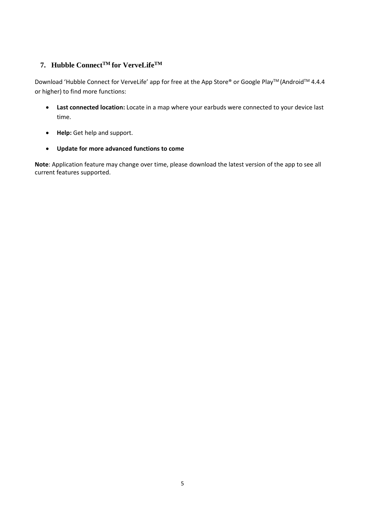#### **7. Hubble ConnectTM for VerveLifeTM**

Download 'Hubble Connect for VerveLife' app for free at the App Store® or Google Play™ (Android™ 4.4.4 or higher) to find more functions:

- **Last connected location:** Locate in a map where your earbuds were connected to your device last time.
- **Help:** Get help and support.
- **Update for more advanced functions to come**

**Note**: Application feature may change over time, please download the latest version of the app to see all current features supported.